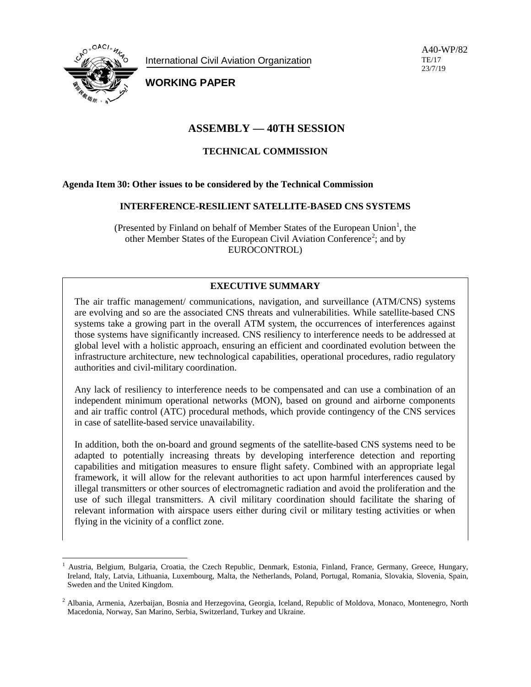

International Civil Aviation Organization

A40-WP/82 TE/17 23/7/19

**WORKING PAPER**

# **ASSEMBLY — 40TH SESSION**

## **TECHNICAL COMMISSION**

### **Agenda Item 30: Other issues to be considered by the Technical Commission**

#### **INTERFERENCE-RESILIENT SATELLITE-BASED CNS SYSTEMS**

(Presented by Finland on behalf of Member States of the European Union<sup>[1](#page-0-0)</sup>, the other Member States of the European Civil Aviation Conference<sup>[2](#page-0-1)</sup>; and by EUROCONTROL)

# **EXECUTIVE SUMMARY**

The air traffic management/ communications, navigation, and surveillance (ATM/CNS) systems are evolving and so are the associated CNS threats and vulnerabilities. While satellite-based CNS systems take a growing part in the overall ATM system, the occurrences of interferences against those systems have significantly increased. CNS resiliency to interference needs to be addressed at global level with a holistic approach, ensuring an efficient and coordinated evolution between the infrastructure architecture, new technological capabilities, operational procedures, radio regulatory authorities and civil-military coordination.

Any lack of resiliency to interference needs to be compensated and can use a combination of an independent minimum operational networks (MON), based on ground and airborne components and air traffic control (ATC) procedural methods, which provide contingency of the CNS services in case of satellite-based service unavailability.

In addition, both the on-board and ground segments of the satellite-based CNS systems need to be adapted to potentially increasing threats by developing interference detection and reporting capabilities and mitigation measures to ensure flight safety. Combined with an appropriate legal framework, it will allow for the relevant authorities to act upon harmful interferences caused by illegal transmitters or other sources of electromagnetic radiation and avoid the proliferation and the use of such illegal transmitters. A civil military coordination should facilitate the sharing of relevant information with airspace users either during civil or military testing activities or when flying in the vicinity of a conflict zone.

<span id="page-0-0"></span> <sup>1</sup> Austria, Belgium, Bulgaria, Croatia, the Czech Republic, Denmark, Estonia, Finland, France, Germany, Greece, Hungary, Ireland, Italy, Latvia, Lithuania, Luxembourg, Malta, the Netherlands, Poland, Portugal, Romania, Slovakia, Slovenia, Spain, Sweden and the United Kingdom.

<span id="page-0-1"></span><sup>2</sup> Albania, Armenia, Azerbaijan, Bosnia and Herzegovina, Georgia, Iceland, Republic of Moldova, Monaco, Montenegro, North Macedonia, Norway, San Marino, Serbia, Switzerland, Turkey and Ukraine.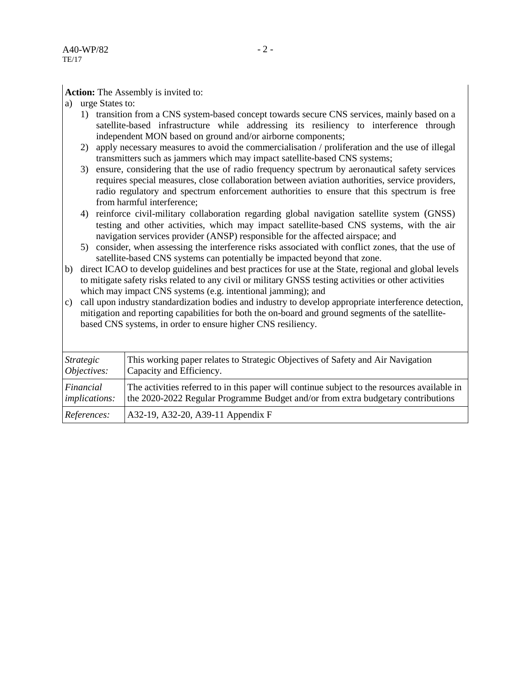**Action:** The Assembly is invited to:

- a) urge States to:
	- 1) transition from a CNS system-based concept towards secure CNS services, mainly based on a satellite-based infrastructure while addressing its resiliency to interference through independent MON based on ground and/or airborne components;
	- 2) apply necessary measures to avoid the commercialisation / proliferation and the use of illegal transmitters such as jammers which may impact satellite-based CNS systems;
	- 3) ensure, considering that the use of radio frequency spectrum by aeronautical safety services requires special measures, close collaboration between aviation authorities, service providers, radio regulatory and spectrum enforcement authorities to ensure that this spectrum is free from harmful interference;
	- 4) reinforce civil-military collaboration regarding global navigation satellite system (GNSS) testing and other activities, which may impact satellite-based CNS systems, with the air navigation services provider (ANSP) responsible for the affected airspace; and
	- 5) consider, when assessing the interference risks associated with conflict zones, that the use of satellite-based CNS systems can potentially be impacted beyond that zone.
- b) direct ICAO to develop guidelines and best practices for use at the State, regional and global levels to mitigate safety risks related to any civil or military GNSS testing activities or other activities which may impact CNS systems (e.g. intentional jamming); and
- c) call upon industry standardization bodies and industry to develop appropriate interference detection, mitigation and reporting capabilities for both the on-board and ground segments of the satellitebased CNS systems, in order to ensure higher CNS resiliency.

| Strategic            | This working paper relates to Strategic Objectives of Safety and Air Navigation              |
|----------------------|----------------------------------------------------------------------------------------------|
| Objectives:          | Capacity and Efficiency.                                                                     |
| Financial            | The activities referred to in this paper will continue subject to the resources available in |
| <i>implications:</i> | the 2020-2022 Regular Programme Budget and/or from extra budgetary contributions             |
| References:          | A32-19, A32-20, A39-11 Appendix F                                                            |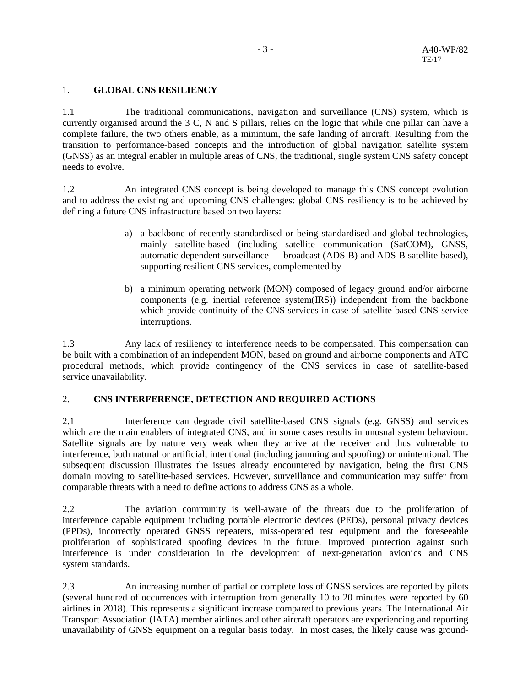### 1. **GLOBAL CNS RESILIENCY**

1.1 The traditional communications, navigation and surveillance (CNS) system, which is currently organised around the 3 C, N and S pillars, relies on the logic that while one pillar can have a complete failure, the two others enable, as a minimum, the safe landing of aircraft. Resulting from the transition to performance-based concepts and the introduction of global navigation satellite system (GNSS) as an integral enabler in multiple areas of CNS, the traditional, single system CNS safety concept needs to evolve.

1.2 An integrated CNS concept is being developed to manage this CNS concept evolution and to address the existing and upcoming CNS challenges: global CNS resiliency is to be achieved by defining a future CNS infrastructure based on two layers:

- a) a backbone of recently standardised or being standardised and global technologies, mainly satellite-based (including satellite communication (SatCOM), GNSS, automatic dependent surveillance — broadcast (ADS-B) and ADS-B satellite-based), supporting resilient CNS services, complemented by
- b) a minimum operating network (MON) composed of legacy ground and/or airborne components (e.g. inertial reference system(IRS)) independent from the backbone which provide continuity of the CNS services in case of satellite-based CNS service interruptions.

1.3 Any lack of resiliency to interference needs to be compensated. This compensation can be built with a combination of an independent MON, based on ground and airborne components and ATC procedural methods, which provide contingency of the CNS services in case of satellite-based service unavailability.

### 2. **CNS INTERFERENCE, DETECTION AND REQUIRED ACTIONS**

2.1 Interference can degrade civil satellite-based CNS signals (e.g. GNSS) and services which are the main enablers of integrated CNS, and in some cases results in unusual system behaviour. Satellite signals are by nature very weak when they arrive at the receiver and thus vulnerable to interference, both natural or artificial, intentional (including jamming and spoofing) or unintentional. The subsequent discussion illustrates the issues already encountered by navigation, being the first CNS domain moving to satellite-based services. However, surveillance and communication may suffer from comparable threats with a need to define actions to address CNS as a whole.

2.2 The aviation community is well-aware of the threats due to the proliferation of interference capable equipment including portable electronic devices (PEDs), personal privacy devices (PPDs), incorrectly operated GNSS repeaters, miss-operated test equipment and the foreseeable proliferation of sophisticated spoofing devices in the future. Improved protection against such interference is under consideration in the development of next-generation avionics and CNS system standards.

2.3 An increasing number of partial or complete loss of GNSS services are reported by pilots (several hundred of occurrences with interruption from generally 10 to 20 minutes were reported by 60 airlines in 2018). This represents a significant increase compared to previous years. The International Air Transport Association (IATA) member airlines and other aircraft operators are experiencing and reporting unavailability of GNSS equipment on a regular basis today. In most cases, the likely cause was ground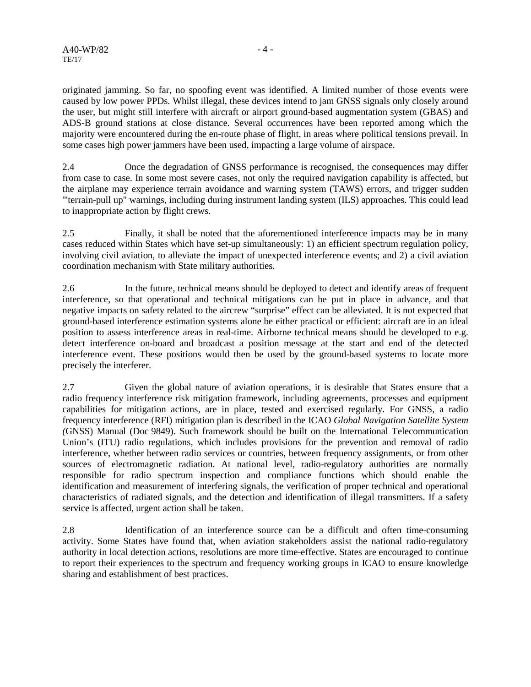originated jamming. So far, no spoofing event was identified. A limited number of those events were caused by low power PPDs. Whilst illegal, these devices intend to jam GNSS signals only closely around the user, but might still interfere with aircraft or airport ground-based augmentation system (GBAS) and ADS-B ground stations at close distance. Several occurrences have been reported among which the majority were encountered during the en-route phase of flight, in areas where political tensions prevail. In some cases high power jammers have been used, impacting a large volume of airspace.

2.4 Once the degradation of GNSS performance is recognised, the consequences may differ from case to case. In some most severe cases, not only the required navigation capability is affected, but the airplane may experience terrain avoidance and warning system (TAWS) errors, and trigger sudden '"terrain-pull up" warnings, including during instrument landing system (ILS) approaches. This could lead to inappropriate action by flight crews.

2.5 Finally, it shall be noted that the aforementioned interference impacts may be in many cases reduced within States which have set-up simultaneously: 1) an efficient spectrum regulation policy, involving civil aviation, to alleviate the impact of unexpected interference events; and 2) a civil aviation coordination mechanism with State military authorities.

2.6 In the future, technical means should be deployed to detect and identify areas of frequent interference, so that operational and technical mitigations can be put in place in advance, and that negative impacts on safety related to the aircrew "surprise" effect can be alleviated. It is not expected that ground-based interference estimation systems alone be either practical or efficient: aircraft are in an ideal position to assess interference areas in real-time. Airborne technical means should be developed to e.g. detect interference on-board and broadcast a position message at the start and end of the detected interference event. These positions would then be used by the ground-based systems to locate more precisely the interferer.

2.7 Given the global nature of aviation operations, it is desirable that States ensure that a radio frequency interference risk mitigation framework, including agreements, processes and equipment capabilities for mitigation actions, are in place, tested and exercised regularly. For GNSS, a radio frequency interference (RFI) mitigation plan is described in the ICAO *Global Navigation Satellite System (*GNSS) Manual (Doc 9849). Such framework should be built on the International Telecommunication Union's (ITU) radio regulations, which includes provisions for the prevention and removal of radio interference, whether between radio services or countries, between frequency assignments, or from other sources of electromagnetic radiation. At national level, radio-regulatory authorities are normally responsible for radio spectrum inspection and compliance functions which should enable the identification and measurement of interfering signals, the verification of proper technical and operational characteristics of radiated signals, and the detection and identification of illegal transmitters. If a safety service is affected, urgent action shall be taken.

2.8 Identification of an interference source can be a difficult and often time-consuming activity. Some States have found that, when aviation stakeholders assist the national radio-regulatory authority in local detection actions, resolutions are more time-effective. States are encouraged to continue to report their experiences to the spectrum and frequency working groups in ICAO to ensure knowledge sharing and establishment of best practices.